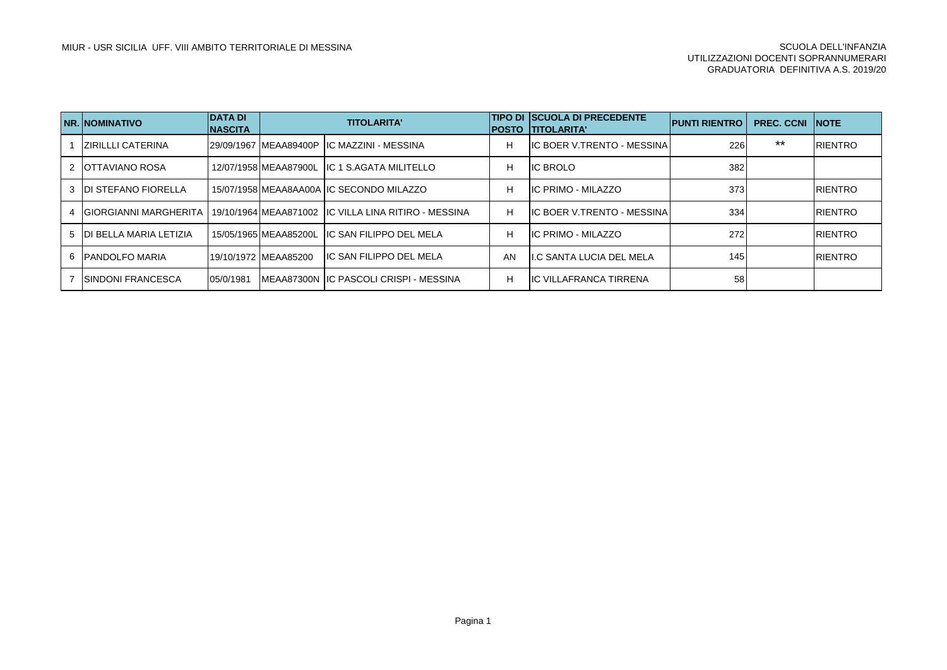|   | <b>INR. INOMINATIVO</b>   | IDATA DI<br><b>NASCITA</b> |                       | <b>TITOLARITA'</b>                                                            |    | <b>TIPO DI SCUOLA DI PRECEDENTE</b><br><b>IPOSTO ITITOLARITA'</b> | <b>IPUNTI RIENTRO</b> | <b>PREC. CCNI INOTE</b> |                 |
|---|---------------------------|----------------------------|-----------------------|-------------------------------------------------------------------------------|----|-------------------------------------------------------------------|-----------------------|-------------------------|-----------------|
|   | <b>ZIRILLLI CATERINA</b>  |                            |                       | I29/09/1967 IMEAA89400P IIC MAZZINI - MESSINA                                 | н  | <b>IC BOER V.TRENTO - MESSINA</b>                                 | 226                   | $***$                   | <b>IRIENTRO</b> |
|   | 2 <b>IOTTAVIANO ROSA</b>  |                            |                       | 12/07/1958 MEAA87900L IIC 1 S.AGATA MILITELLO                                 | н  | <b>IC BROLO</b>                                                   | 382                   |                         |                 |
|   | 3 IDI STEFANO FIORELLA    |                            |                       | 15/07/1958 MEAA8AA00A IIC SECONDO MILAZZO                                     | н  | IC PRIMO - MILAZZO                                                | 373                   |                         | <b>IRIENTRO</b> |
| 4 |                           |                            |                       | IGIORGIANNI MARGHERITA 119/10/1964 MEAA871002 IIC VILLA LINA RITIRO - MESSINA | н  | <b>IC BOER V.TRENTO - MESSINA</b>                                 | 334                   |                         | <b>IRIENTRO</b> |
|   | 5 DI BELLA MARIA LETIZIA  |                            |                       | 15/05/1965 MEAA85200L IIC SAN FILIPPO DEL MELA                                | н  | <b>IIC PRIMO - MILAZZO</b>                                        | 272                   |                         | <b>IRIENTRO</b> |
|   | 6 <b>IPANDOLFO MARIA</b>  |                            | 19/10/1972 IMEAA85200 | IIC SAN FILIPPO DEL MELA                                                      | AN | <b>II.C SANTA LUCIA DEL MELA</b>                                  | 145                   |                         | <b>IRIENTRO</b> |
|   | <b>ISINDONI FRANCESCA</b> | 05/0/1981                  |                       | IMEAA87300N IIC PASCOLI CRISPI - MESSINA                                      | н  | <b>IIC VILLAFRANCA TIRRENA</b>                                    | 58                    |                         |                 |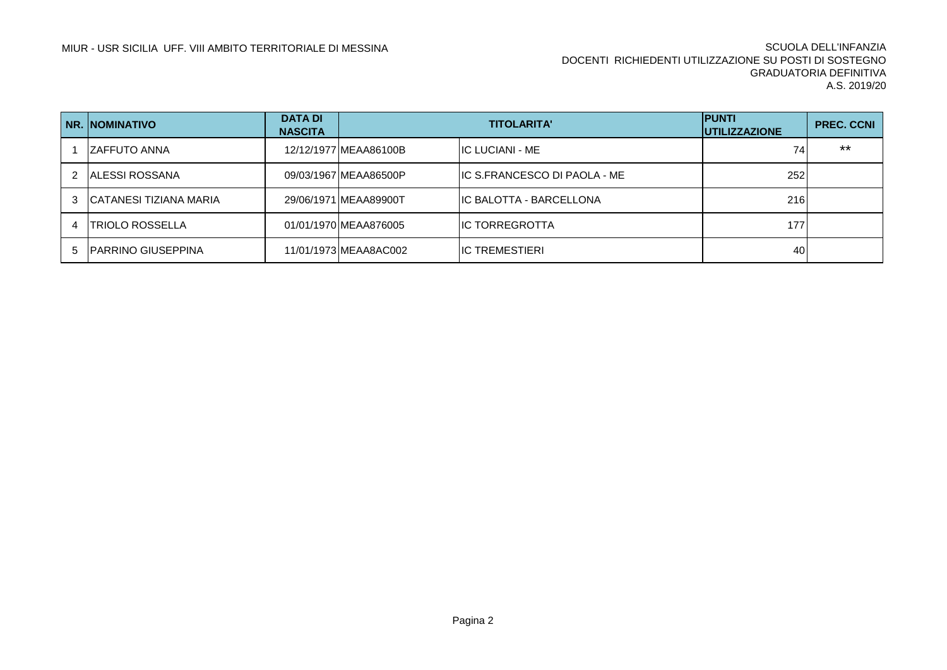|   | <b>NR. NOMINATIVO</b>      | <b>DATA DI</b><br><b>NASCITA</b> | <b>TITOLARITA'</b>     |                                      | <b>IPUNTI</b><br><b>IUTILIZZAZIONE</b> | <b>PREC. CCNI</b> |
|---|----------------------------|----------------------------------|------------------------|--------------------------------------|----------------------------------------|-------------------|
|   | IZAFFUTO ANNA              |                                  | 12/12/1977 IMEAA86100B | <b>IIC LUCIANI - ME</b>              |                                        | $***$             |
|   | IALESSI ROSSANA            |                                  | 09/03/1967 MEAA86500P  | <b>IIC S.FRANCESCO DI PAOLA - ME</b> | 252                                    |                   |
| 3 | ICATANESI TIZIANA MARIA    |                                  | 29/06/1971 IMEAA89900T | IIC BALOTTA - BARCELLONA             | 216                                    |                   |
|   | <b>ITRIOLO ROSSELLA</b>    |                                  | 01/01/1970 MEAA876005  | <b>IIC TORREGROTTA</b>               | 1771                                   |                   |
|   | <b>IPARRINO GIUSEPPINA</b> |                                  | 11/01/1973 MEAA8AC002  | <b>IIC TREMESTIERI</b>               | 401                                    |                   |